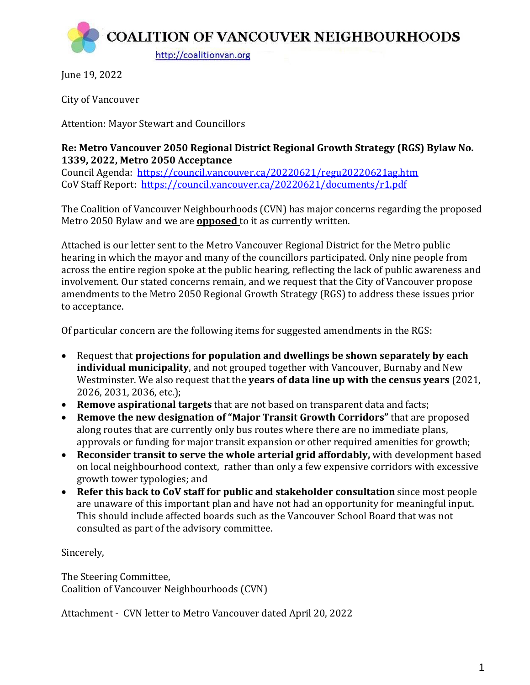

June 19, 2022

City of Vancouver

Attention: Mayor Stewart and Councillors

## **Re: Metro Vancouver 2050 Regional District Regional Growth Strategy (RGS) Bylaw No. 1339, 2022, Metro 2050 Acceptance**

Council Agenda: <https://council.vancouver.ca/20220621/regu20220621ag.htm> CoV Staff Report: <https://council.vancouver.ca/20220621/documents/r1.pdf>

The Coalition of Vancouver Neighbourhoods (CVN) has major concerns regarding the proposed Metro 2050 Bylaw and we are **opposed** to it as currently written.

Attached is our letter sent to the Metro Vancouver Regional District for the Metro public hearing in which the mayor and many of the councillors participated. Only nine people from across the entire region spoke at the public hearing, reflecting the lack of public awareness and involvement. Our stated concerns remain, and we request that the City of Vancouver propose amendments to the Metro 2050 Regional Growth Strategy (RGS) to address these issues prior to acceptance.

Of particular concern are the following items for suggested amendments in the RGS:

- Request that **projections for population and dwellings be shown separately by each individual municipality**, and not grouped together with Vancouver, Burnaby and New Westminster. We also request that the **years of data line up with the census years** (2021, 2026, 2031, 2036, etc.);
- **Remove aspirational targets** that are not based on transparent data and facts;
- **Remove the new designation of "Major Transit Growth Corridors"** that are proposed along routes that are currently only bus routes where there are no immediate plans, approvals or funding for major transit expansion or other required amenities for growth;
- **Reconsider transit to serve the whole arterial grid affordably,** with development based on local neighbourhood context, rather than only a few expensive corridors with excessive growth tower typologies; and
- **Refer this back to CoV staff for public and stakeholder consultation** since most people are unaware of this important plan and have not had an opportunity for meaningful input. This should include affected boards such as the Vancouver School Board that was not consulted as part of the advisory committee.

Sincerely,

The Steering Committee, Coalition of Vancouver Neighbourhoods (CVN)

Attachment - CVN letter to Metro Vancouver dated April 20, 2022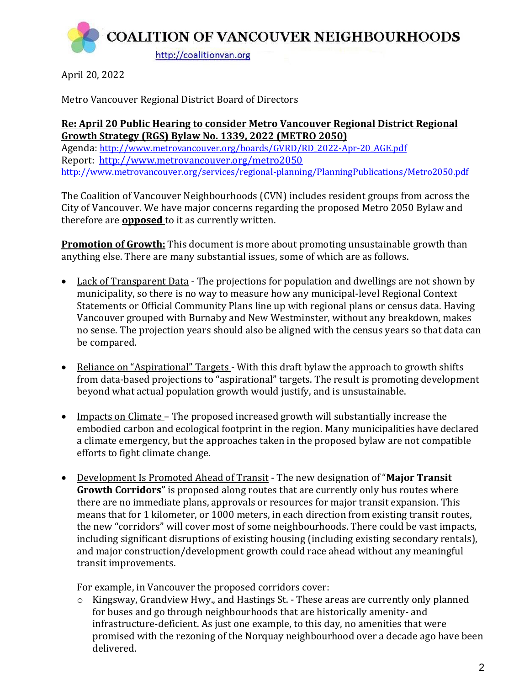**COALITION OF VANCOUVER NEIGHBOURHOODS** http://coalitionvan.org

April 20, 2022

Metro Vancouver Regional District Board of Directors

therefore are **opposed** to it as currently written.

## **Re: April 20 Public Hearing to consider Metro Vancouver Regional District Regional Growth Strategy (RGS) Bylaw No. 1339, 2022 (METRO 2050)** Agenda: [http://www.metrovancouver.org/boards/GVRD/RD\\_2022-Apr-20\\_AGE.pdf](http://www.metrovancouver.org/boards/GVRD/RD_2022-Apr-20_AGE.pdf) Report: <http://www.metrovancouver.org/metro2050> <http://www.metrovancouver.org/services/regional-planning/PlanningPublications/Metro2050.pdf>

The Coalition of Vancouver Neighbourhoods (CVN) includes resident groups from across the City of Vancouver. We have major concerns regarding the proposed Metro 2050 Bylaw and

**Promotion of Growth:** This document is more about promoting unsustainable growth than anything else. There are many substantial issues, some of which are as follows.

- Lack of Transparent Data The projections for population and dwellings are not shown by municipality, so there is no way to measure how any municipal-level Regional Context Statements or Official Community Plans line up with regional plans or census data. Having Vancouver grouped with Burnaby and New Westminster, without any breakdown, makes no sense. The projection years should also be aligned with the census years so that data can be compared.
- Reliance on "Aspirational" Targets With this draft bylaw the approach to growth shifts from data-based projections to "aspirational" targets. The result is promoting development beyond what actual population growth would justify, and is unsustainable.
- Impacts on Climate The proposed increased growth will substantially increase the embodied carbon and ecological footprint in the region. Many municipalities have declared a climate emergency, but the approaches taken in the proposed bylaw are not compatible efforts to fight climate change.
- Development Is Promoted Ahead of Transit The new designation of "**Major Transit Growth Corridors"** is proposed along routes that are currently only bus routes where there are no immediate plans, approvals or resources for major transit expansion. This means that for 1 kilometer, or 1000 meters, in each direction from existing transit routes, the new "corridors" will cover most of some neighbourhoods. There could be vast impacts, including significant disruptions of existing housing (including existing secondary rentals), and major construction/development growth could race ahead without any meaningful transit improvements.

For example, in Vancouver the proposed corridors cover:

o Kingsway, Grandview Hwy., and Hastings St. - These areas are currently only planned for buses and go through neighbourhoods that are historically amenity- and infrastructure-deficient. As just one example, to this day, no amenities that were promised with the rezoning of the Norquay neighbourhood over a decade ago have been delivered.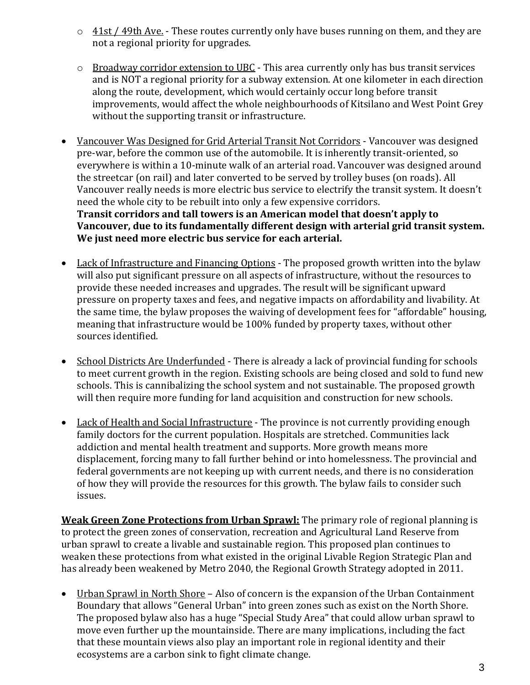- $\circ$  41st / 49th Ave. These routes currently only have buses running on them, and they are not a regional priority for upgrades.
- o Broadway corridor extension to UBC This area currently only has bus transit services and is NOT a regional priority for a subway extension. At one kilometer in each direction along the route, development, which would certainly occur long before transit improvements, would affect the whole neighbourhoods of Kitsilano and West Point Grey without the supporting transit or infrastructure.
- Vancouver Was Designed for Grid Arterial Transit Not Corridors Vancouver was designed pre-war, before the common use of the automobile. It is inherently transit-oriented, so everywhere is within a 10-minute walk of an arterial road. Vancouver was designed around the streetcar (on rail) and later converted to be served by trolley buses (on roads). All Vancouver really needs is more electric bus service to electrify the transit system. It doesn't need the whole city to be rebuilt into only a few expensive corridors. **Transit corridors and tall towers is an American model that doesn't apply to Vancouver, due to its fundamentally different design with arterial grid transit system. We just need more electric bus service for each arterial.**
- Lack of Infrastructure and Financing Options The proposed growth written into the bylaw will also put significant pressure on all aspects of infrastructure, without the resources to provide these needed increases and upgrades. The result will be significant upward pressure on property taxes and fees, and negative impacts on affordability and livability. At the same time, the bylaw proposes the waiving of development fees for "affordable" housing, meaning that infrastructure would be 100% funded by property taxes, without other sources identified.
- School Districts Are Underfunded There is already a lack of provincial funding for schools to meet current growth in the region. Existing schools are being closed and sold to fund new schools. This is cannibalizing the school system and not sustainable. The proposed growth will then require more funding for land acquisition and construction for new schools.
- Lack of Health and Social Infrastructure The province is not currently providing enough family doctors for the current population. Hospitals are stretched. Communities lack addiction and mental health treatment and supports. More growth means more displacement, forcing many to fall further behind or into homelessness. The provincial and federal governments are not keeping up with current needs, and there is no consideration of how they will provide the resources for this growth. The bylaw fails to consider such issues.

**Weak Green Zone Protections from Urban Sprawl:** The primary role of regional planning is to protect the green zones of conservation, recreation and Agricultural Land Reserve from urban sprawl to create a livable and sustainable region. This proposed plan continues to weaken these protections from what existed in the original Livable Region Strategic Plan and has already been weakened by Metro 2040, the Regional Growth Strategy adopted in 2011.

• Urban Sprawl in North Shore – Also of concern is the expansion of the Urban Containment Boundary that allows "General Urban" into green zones such as exist on the North Shore. The proposed bylaw also has a huge "Special Study Area" that could allow urban sprawl to move even further up the mountainside. There are many implications, including the fact that these mountain views also play an important role in regional identity and their ecosystems are a carbon sink to fight climate change.